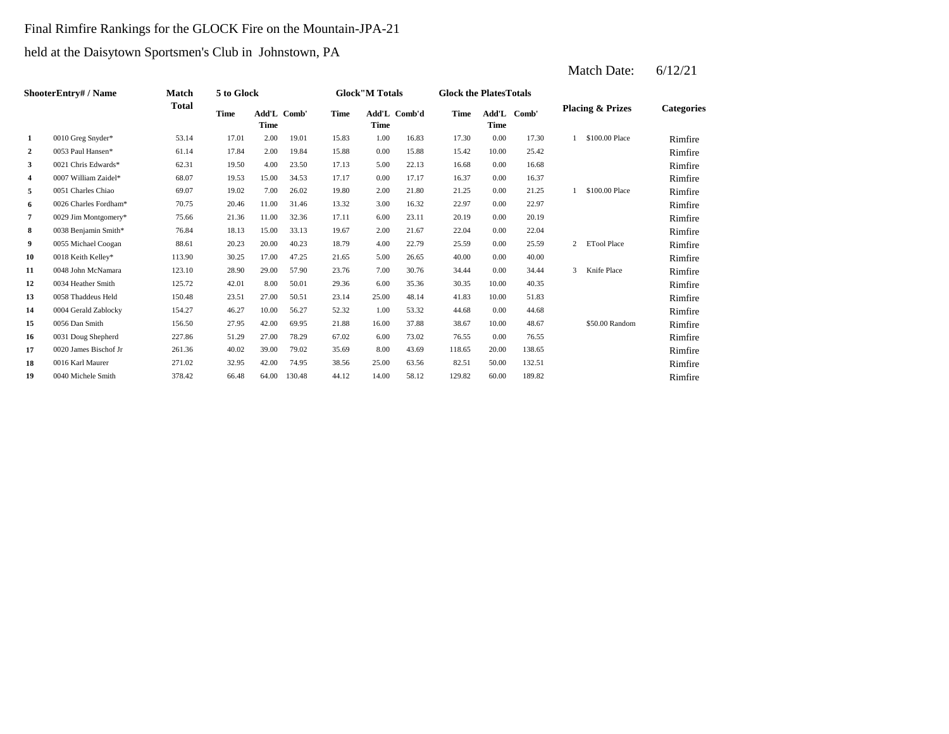#### Final Rimfire Rankings for the GLOCK Fire on the Mountain-JPA-21

held at the Daisytown Sportsmen's Club in Johnstown, PA

| ShooterEntry# / Name | <b>Match</b>          | 5 to Glock |             |                     |        | <b>Glock</b> "M Totals |             | <b>Glock the Plates Totals</b> |        |             |             |   |                             |                   |
|----------------------|-----------------------|------------|-------------|---------------------|--------|------------------------|-------------|--------------------------------|--------|-------------|-------------|---|-----------------------------|-------------------|
|                      |                       | Total      | <b>Time</b> | Add'L Comb'<br>Time |        | <b>Time</b>            | <b>Time</b> | Add'L Comb'd                   | Time   | <b>Time</b> | Add'L Comb' |   | <b>Placing &amp; Prizes</b> | <b>Categories</b> |
| 1                    | 0010 Greg Snyder*     | 53.14      | 17.01       | 2.00                | 19.01  | 15.83                  | 1.00        | 16.83                          | 17.30  | 0.00        | 17.30       |   | \$100.00 Place              | Rimfire           |
| $\overline{a}$       | 0053 Paul Hansen*     | 61.14      | 17.84       | 2.00                | 19.84  | 15.88                  | 0.00        | 15.88                          | 15.42  | 10.00       | 25.42       |   |                             | Rimfire           |
| 3                    | 0021 Chris Edwards*   | 62.31      | 19.50       | 4.00                | 23.50  | 17.13                  | 5.00        | 22.13                          | 16.68  | 0.00        | 16.68       |   |                             | Rimfire           |
| 4                    | 0007 William Zaidel*  | 68.07      | 19.53       | 15.00               | 34.53  | 17.17                  | 0.00        | 17.17                          | 16.37  | 0.00        | 16.37       |   |                             | Rimfire           |
| 5                    | 0051 Charles Chiao    | 69.07      | 19.02       | 7.00                | 26.02  | 19.80                  | 2.00        | 21.80                          | 21.25  | 0.00        | 21.25       |   | \$100.00 Place              | Rimfire           |
| 6                    | 0026 Charles Fordham* | 70.75      | 20.46       | 11.00               | 31.46  | 13.32                  | 3.00        | 16.32                          | 22.97  | 0.00        | 22.97       |   |                             | Rimfire           |
| 7                    | 0029 Jim Montgomery*  | 75.66      | 21.36       | 11.00               | 32.36  | 17.11                  | 6.00        | 23.11                          | 20.19  | 0.00        | 20.19       |   |                             | Rimfire           |
| 8                    | 0038 Benjamin Smith*  | 76.84      | 18.13       | 15.00               | 33.13  | 19.67                  | 2.00        | 21.67                          | 22.04  | 0.00        | 22.04       |   |                             | Rimfire           |
| 9                    | 0055 Michael Coogan   | 88.61      | 20.23       | 20.00               | 40.23  | 18.79                  | 4.00        | 22.79                          | 25.59  | 0.00        | 25.59       | 2 | <b>ETool Place</b>          | Rimfire           |
| 10                   | 0018 Keith Kelley*    | 113.90     | 30.25       | 17.00               | 47.25  | 21.65                  | 5.00        | 26.65                          | 40.00  | 0.00        | 40.00       |   |                             | Rimfire           |
| 11                   | 0048 John McNamara    | 123.10     | 28.90       | 29.00               | 57.90  | 23.76                  | 7.00        | 30.76                          | 34.44  | 0.00        | 34.44       | 3 | Knife Place                 | Rimfire           |
| 12                   | 0034 Heather Smith    | 125.72     | 42.01       | 8.00                | 50.01  | 29.36                  | 6.00        | 35.36                          | 30.35  | 10.00       | 40.35       |   |                             | Rimfire           |
| 13                   | 0058 Thaddeus Held    | 150.48     | 23.51       | 27.00               | 50.51  | 23.14                  | 25.00       | 48.14                          | 41.83  | 10.00       | 51.83       |   |                             | Rimfire           |
| 14                   | 0004 Gerald Zablocky  | 154.27     | 46.27       | 10.00               | 56.27  | 52.32                  | 1.00        | 53.32                          | 44.68  | 0.00        | 44.68       |   |                             | Rimfire           |
| 15                   | 0056 Dan Smith        | 156.50     | 27.95       | 42.00               | 69.95  | 21.88                  | 16.00       | 37.88                          | 38.67  | 10.00       | 48.67       |   | \$50.00 Random              | Rimfire           |
| 16                   | 0031 Doug Shepherd    | 227.86     | 51.29       | 27.00               | 78.29  | 67.02                  | 6.00        | 73.02                          | 76.55  | 0.00        | 76.55       |   |                             | Rimfire           |
| 17                   | 0020 James Bischof Jr | 261.36     | 40.02       | 39.00               | 79.02  | 35.69                  | 8.00        | 43.69                          | 118.65 | 20.00       | 138.65      |   |                             | Rimfire           |
| 18                   | 0016 Karl Maurer      | 271.02     | 32.95       | 42.00               | 74.95  | 38.56                  | 25.00       | 63.56                          | 82.51  | 50.00       | 132.51      |   |                             | Rimfire           |
| 19                   | 0040 Michele Smith    | 378.42     | 66.48       | 64.00               | 130.48 | 44.12                  | 14.00       | 58.12                          | 129.82 | 60.00       | 189.82      |   |                             | Rimfire           |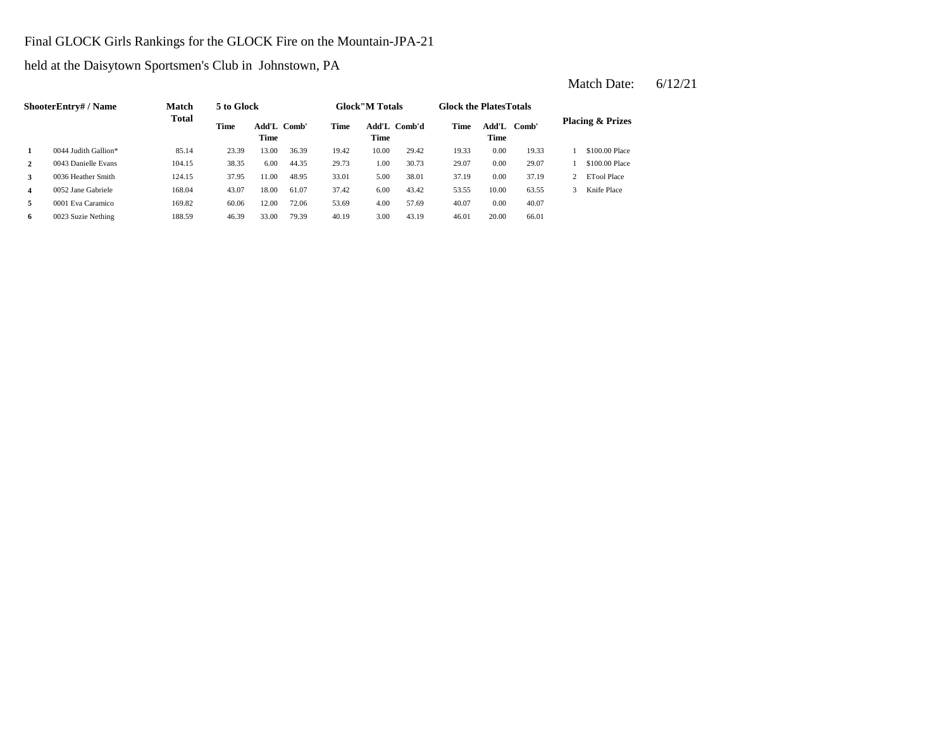#### Final GLOCK Girls Rankings for the GLOCK Fire on the Mountain-JPA-21

held at the Daisytown Sportsmen's Club in Johnstown, PA

**2** 1.00 30.73 **29.07 29.07 29.07 29.07 29.07 29.07 29.07 29.07 29.07 29.07 29.07 29.07 29.07 29.07 29.07 29.07 29.07 29.07 29.07 20.07 20.07 20.07 20.07 20.07 20.07 20.07 3**  $\frac{0.036 \text{ Heather Smith}}{37.19}$  124.15  $\frac{37.95}{11.00}$  18.95  $\frac{33.01}{13.01}$  5.00  $\frac{38.01}{13.19}$ **4** 6.00 53.55 0052 Jane Gabriele 168.04 43.07 18.00 61.07 **5** 4.00 **Eva Caramico** 169.82 60.06 12.00 72.06 53.69 4.00 57.69 40.07 **6** 0023 Suzie Nething 188.59 46.39 33.00 79.39 40.19 3.00 43.19 46.01 20.00 66.01 57.69 0.00 40.07 37.42 6.00 43.42 53.55 10.00 63.55 3 Knife Place 38.01 0.00 37.19 2 ETool Place 29.73 1.00 30.73 29.07 0.00 29.07 1 \$100.00 Place 19.33 0.00 19.33 1 \$100.00 Place **Comb' Comb'd Time Add'L Placing & Prizes Time Add'L 1** 0044 Judith Gallion\* 85.14 23.39 13.00 36.39 19.42 10.00 29.42 Add'L Comb' **Time Add'L Time Time ShooterEntry# / Name Match Total 5 to Glock Time Glock"M Totals Glock the PlatesTotals Time**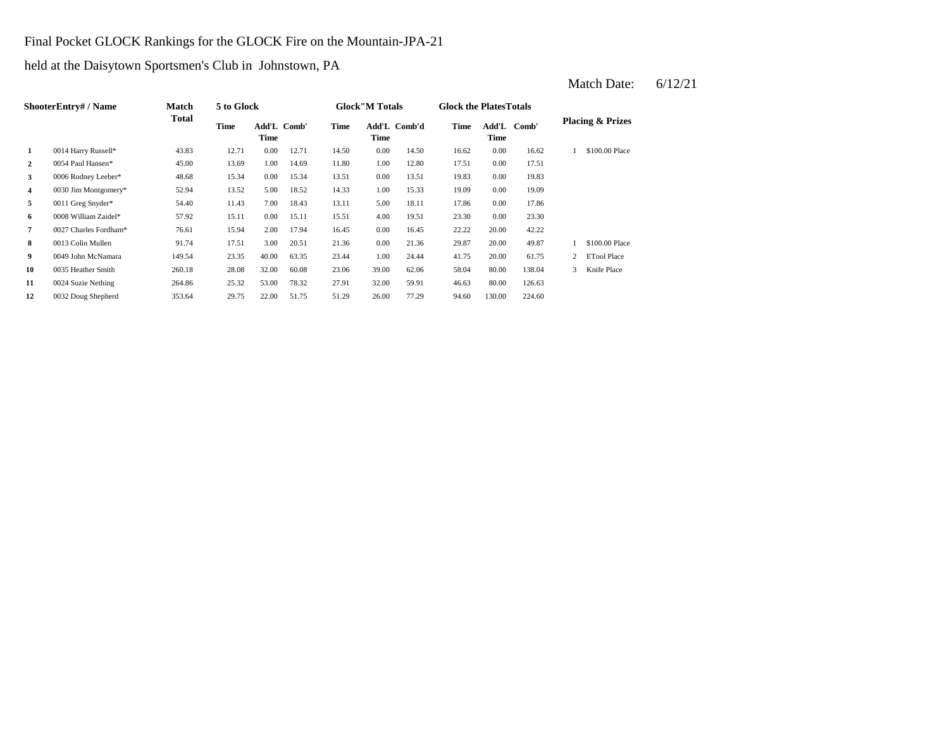#### Final Pocket GLOCK Rankings for the GLOCK Fire on the Mountain-JPA-21

held at the Daisytown Sportsmen's Club in Johnstown, PA

**2** 0054 Paul Hansen\* 45.00 13.69 1.00 14.69 11.80 1.00 12.80 17.51 **3** 0.006 Rodney Leeber\* 48.68 15.34 0.00 15.34 13.51 0.00 13.51 19.83 0.00 **4** 0030 Jim Montgomery\* 52.94 13.52 5.00 18.52 14.33 1.00 15.33 19.09 0.00 19.09 **5** 0011 Greg Snyder\* 54.40 11.43 7.00 18.43 13.11 5.00 18.11 17.86 **6** 0008 William Zaidel\* 57.92 15.11 0.00 15.11 15.51 4.00 19.51 23.30 **7** 0.027 Charles Fordham\* **76.61** 15.94 2.00 17.94 16.45 0.00 16.45 22.22 20.00 **8** 0.00 29.87 0013 Colin Mullen 91.74 17.51 3.00 20.51 21.36 21.36 20.00 49.87 **9** 0049 John McNamara 149.54 23.35 40.00 63.35 23.44 1.00 24.44 41.75 20.00 **10** 39.00 58.04 0035 Heather Smith 260.18 28.08 32.00 60.08 23.06 62.06 **11** 0024 Suzie Nething 264.86 25.32 53.00 78.32 27.91 32.00 59.91 46.63 **12** 26.00 94.60 130.00 224.60 0032 Doug Shepherd 353.64 29.75 22.00 51.75 51.29 77.29 59.91 46.63 80.00 126.63 80.00 138.04 3 Knife Place 61.75 2 ETool Place 1 \$100.00 Place 42.22 0.00 23.30 18.11 17.86 0.00 17.86 19.83 0.00 17.51 16.62 1 \$100.00 Place 12.71 14.50 0.00 14.50 16.62 0.00 **Add'L Time Comb'd Time Add'L Comb' Placing & Prizes Time Add'L Time 1** 0014 Harry Russell\* 43.83 12.71 0.00 **ShooterEntry# / Name Match Total 5 to Glock Time Glock"M Totals Glock the PlatesTotals Time** Add'L Comb' **Time**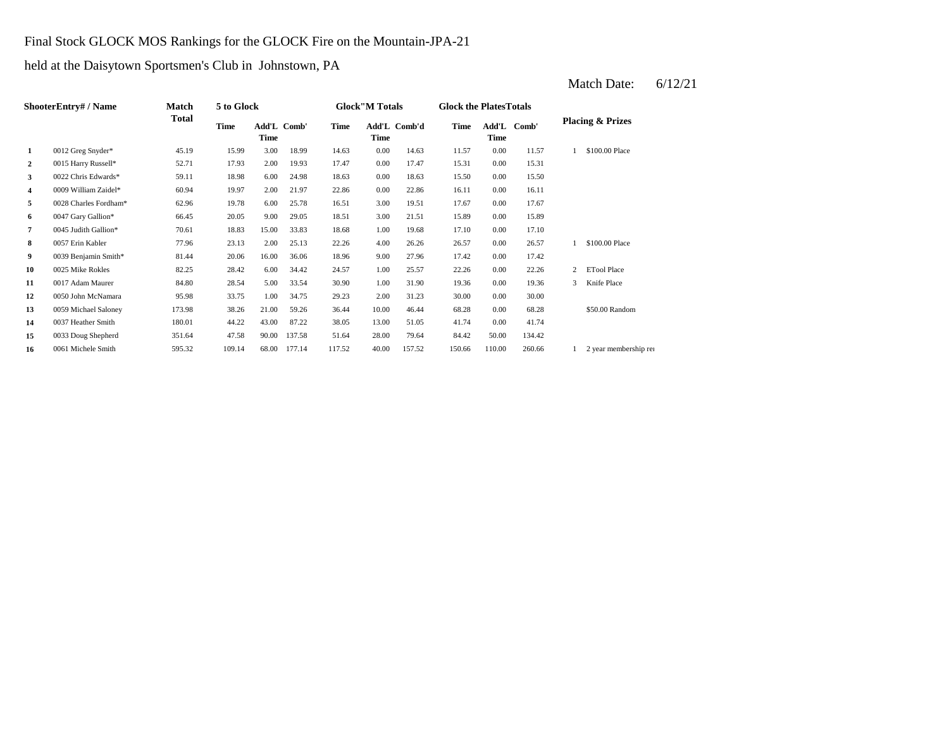#### Final Stock GLOCK MOS Rankings for the GLOCK Fire on the Mountain-JPA-21

held at the Daisytown Sportsmen's Club in Johnstown, PA

| ShooterEntry# / Name | Match                 | 5 to Glock |        |       |             | <b>Glock</b> "M Totals |       | <b>Glock the Plates Totals</b> |        |               |        |              |                             |
|----------------------|-----------------------|------------|--------|-------|-------------|------------------------|-------|--------------------------------|--------|---------------|--------|--------------|-----------------------------|
|                      |                       | Total      | Time   | Time  | Add'L Comb' | Time                   | Time  | Add'L Comb'd                   | Time   | Add'L<br>Time | Comb'  |              | <b>Placing &amp; Prizes</b> |
| 1                    | 0012 Greg Snyder*     | 45.19      | 15.99  | 3.00  | 18.99       | 14.63                  | 0.00  | 14.63                          | 11.57  | 0.00          | 11.57  |              | \$100.00 Place              |
| 2                    | 0015 Harry Russell*   | 52.71      | 17.93  | 2.00  | 19.93       | 17.47                  | 0.00  | 17.47                          | 15.31  | 0.00          | 15.31  |              |                             |
| 3                    | 0022 Chris Edwards*   | 59.11      | 18.98  | 6.00  | 24.98       | 18.63                  | 0.00  | 18.63                          | 15.50  | 0.00          | 15.50  |              |                             |
| 4                    | 0009 William Zaidel*  | 60.94      | 19.97  | 2.00  | 21.97       | 22.86                  | 0.00  | 22.86                          | 16.11  | 0.00          | 16.11  |              |                             |
| 5                    | 0028 Charles Fordham* | 62.96      | 19.78  | 6.00  | 25.78       | 16.51                  | 3.00  | 19.51                          | 17.67  | 0.00          | 17.67  |              |                             |
| 6                    | 0047 Gary Gallion*    | 66.45      | 20.05  | 9.00  | 29.05       | 18.51                  | 3.00  | 21.51                          | 15.89  | 0.00          | 15.89  |              |                             |
| 7                    | 0045 Judith Gallion*  | 70.61      | 18.83  | 15.00 | 33.83       | 18.68                  | 1.00  | 19.68                          | 17.10  | 0.00          | 17.10  |              |                             |
| 8                    | 0057 Erin Kabler      | 77.96      | 23.13  | 2.00  | 25.13       | 22.26                  | 4.00  | 26.26                          | 26.57  | 0.00          | 26.57  |              | \$100.00 Place              |
| 9                    | 0039 Benjamin Smith*  | 81.44      | 20.06  | 16.00 | 36.06       | 18.96                  | 9.00  | 27.96                          | 17.42  | 0.00          | 17.42  |              |                             |
| 10                   | 0025 Mike Rokles      | 82.25      | 28.42  | 6.00  | 34.42       | 24.57                  | 1.00  | 25.57                          | 22.26  | 0.00          | 22.26  | $\mathbf{2}$ | <b>ETool Place</b>          |
| 11                   | 0017 Adam Maurer      | 84.80      | 28.54  | 5.00  | 33.54       | 30.90                  | 1.00  | 31.90                          | 19.36  | 0.00          | 19.36  | 3            | Knife Place                 |
| 12                   | 0050 John McNamara    | 95.98      | 33.75  | 1.00  | 34.75       | 29.23                  | 2.00  | 31.23                          | 30.00  | 0.00          | 30.00  |              |                             |
| 13                   | 0059 Michael Saloney  | 173.98     | 38.26  | 21.00 | 59.26       | 36.44                  | 10.00 | 46.44                          | 68.28  | 0.00          | 68.28  |              | \$50.00 Random              |
| 14                   | 0037 Heather Smith    | 180.01     | 44.22  | 43.00 | 87.22       | 38.05                  | 13.00 | 51.05                          | 41.74  | 0.00          | 41.74  |              |                             |
| 15                   | 0033 Doug Shepherd    | 351.64     | 47.58  | 90.00 | 137.58      | 51.64                  | 28.00 | 79.64                          | 84.42  | 50.00         | 134.42 |              |                             |
| 16                   | 0061 Michele Smith    | 595.32     | 109.14 | 68.00 | 177.14      | 117.52                 | 40.00 | 157.52                         | 150.66 | 110.00        | 260.66 |              | 2 year membership rei       |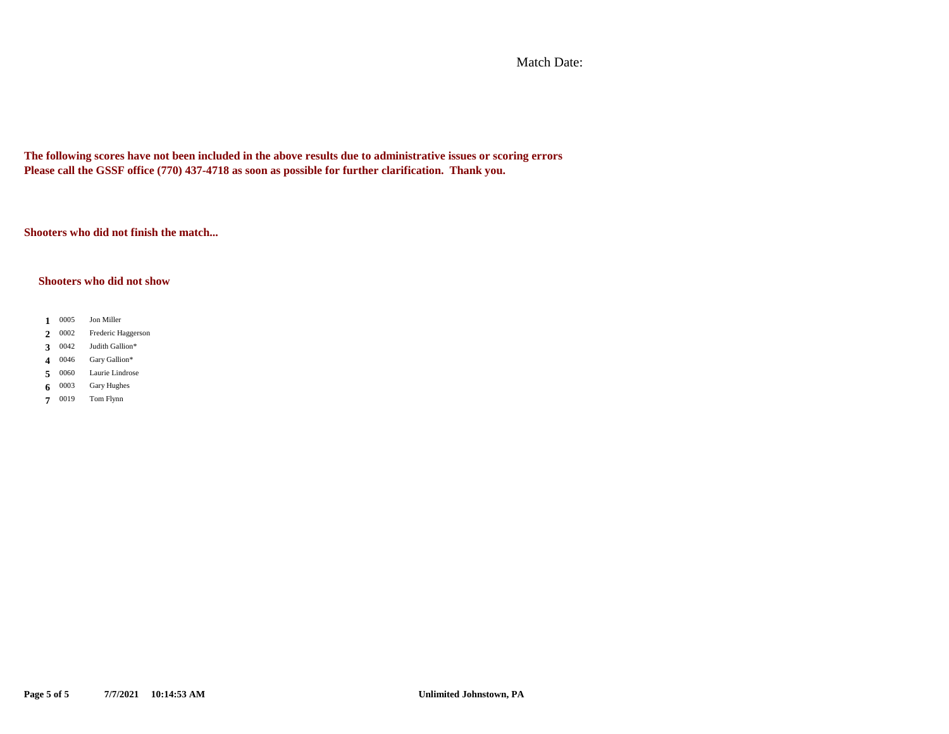Match Date:

**The following scores have not been included in the above results due to administrative issues or scoring errors Please call the GSSF office (770) 437-4718 as soon as possible for further clarification. Thank you.**

**Shooters who did not finish the match...**

#### **Shooters who did not show**

- 1 0005 **1** Jon Miller
- 2 0002 **2** Frederic Haggerson
- 3  $0042$ **3** Judith Gallion\*
- 4 0046 **4** Gary Gallion\*
- 0060 5 0060 Laurie Lindrose
- 0003 **6** 0003 Gary Hughes
- 7 0019 **7** Tom Flynn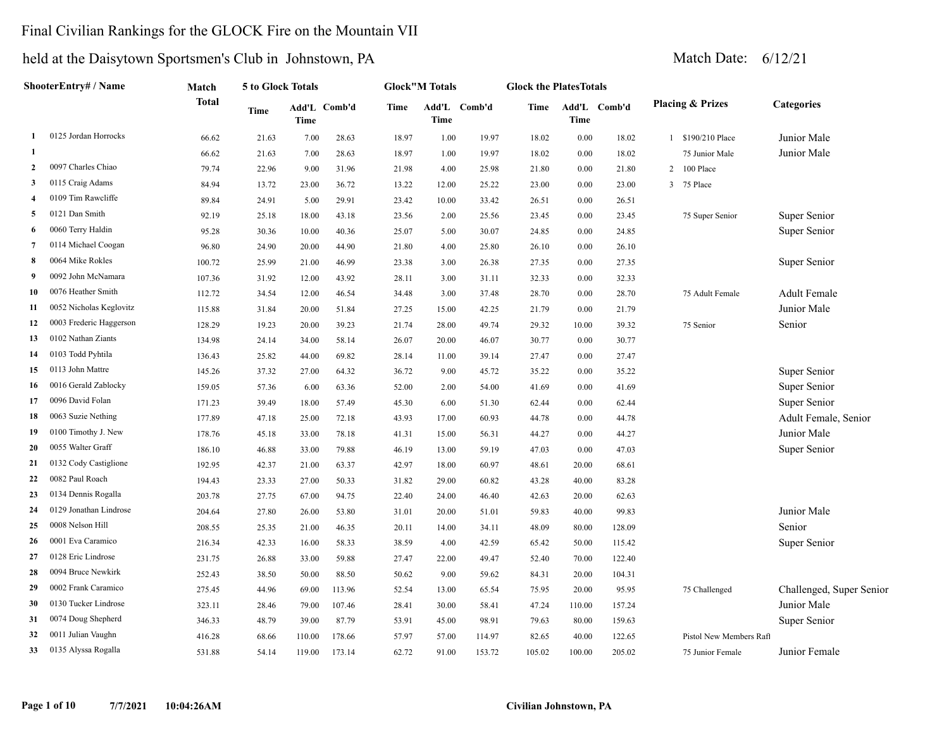### Final Civilian Rankings for the GLOCK Fire on the Mountain VII

| ShooterEntry# / Name    | Match                   |              |       |        | <b>Glock</b> "M Totals<br><b>5 to Glock Totals</b> |       |             | <b>Glock the PlatesTotals</b> |        |             |              |  |                             |                          |
|-------------------------|-------------------------|--------------|-------|--------|----------------------------------------------------|-------|-------------|-------------------------------|--------|-------------|--------------|--|-----------------------------|--------------------------|
|                         |                         | <b>Total</b> | Time  | Time   | Add'L Comb'd                                       | Time  | <b>Time</b> | Add'L Comb'd                  | Time   | <b>Time</b> | Add'L Comb'd |  | <b>Placing &amp; Prizes</b> | <b>Categories</b>        |
| 1                       | 0125 Jordan Horrocks    | 66.62        | 21.63 | 7.00   | 28.63                                              | 18.97 | 1.00        | 19.97                         | 18.02  | 0.00        | 18.02        |  | 1 \$190/210 Place           | Junior Male              |
| 1                       |                         | 66.62        | 21.63 | 7.00   | 28.63                                              | 18.97 | 1.00        | 19.97                         | 18.02  | 0.00        | 18.02        |  | 75 Junior Male              | Junior Male              |
| $\overline{2}$          | 0097 Charles Chiao      | 79.74        | 22.96 | 9.00   | 31.96                                              | 21.98 | 4.00        | 25.98                         | 21.80  | 0.00        | 21.80        |  | 2 100 Place                 |                          |
| 3                       | 0115 Craig Adams        | 84.94        | 13.72 | 23.00  | 36.72                                              | 13.22 | 12.00       | 25.22                         | 23.00  | 0.00        | 23.00        |  | 3 75 Place                  |                          |
| $\overline{\mathbf{4}}$ | 0109 Tim Rawcliffe      | 89.84        | 24.91 | 5.00   | 29.91                                              | 23.42 | 10.00       | 33.42                         | 26.51  | 0.00        | 26.51        |  |                             |                          |
| 5                       | 0121 Dan Smith          | 92.19        | 25.18 | 18.00  | 43.18                                              | 23.56 | 2.00        | 25.56                         | 23.45  | 0.00        | 23.45        |  | 75 Super Senior             | Super Senior             |
| -6                      | 0060 Terry Haldin       | 95.28        | 30.36 | 10.00  | 40.36                                              | 25.07 | 5.00        | 30.07                         | 24.85  | 0.00        | 24.85        |  |                             | Super Senior             |
| $\overline{7}$          | 0114 Michael Coogan     | 96.80        | 24.90 | 20.00  | 44.90                                              | 21.80 | 4.00        | 25.80                         | 26.10  | 0.00        | 26.10        |  |                             |                          |
| -8                      | 0064 Mike Rokles        | 100.72       | 25.99 | 21.00  | 46.99                                              | 23.38 | 3.00        | 26.38                         | 27.35  | 0.00        | 27.35        |  |                             | Super Senior             |
| 9                       | 0092 John McNamara      | 107.36       | 31.92 | 12.00  | 43.92                                              | 28.11 | 3.00        | 31.11                         | 32.33  | 0.00        | 32.33        |  |                             |                          |
| 10                      | 0076 Heather Smith      | 112.72       | 34.54 | 12.00  | 46.54                                              | 34.48 | 3.00        | 37.48                         | 28.70  | 0.00        | 28.70        |  | 75 Adult Female             | <b>Adult Female</b>      |
| 11                      | 0052 Nicholas Keglovitz | 115.88       | 31.84 | 20.00  | 51.84                                              | 27.25 | 15.00       | 42.25                         | 21.79  | 0.00        | 21.79        |  |                             | Junior Male              |
| 12                      | 0003 Frederic Haggerson | 128.29       | 19.23 | 20.00  | 39.23                                              | 21.74 | 28.00       | 49.74                         | 29.32  | 10.00       | 39.32        |  | 75 Senior                   | Senior                   |
| 13                      | 0102 Nathan Ziants      | 134.98       | 24.14 | 34.00  | 58.14                                              | 26.07 | 20.00       | 46.07                         | 30.77  | 0.00        | 30.77        |  |                             |                          |
| 14                      | 0103 Todd Pyhtila       | 136.43       | 25.82 | 44.00  | 69.82                                              | 28.14 | 11.00       | 39.14                         | 27.47  | 0.00        | 27.47        |  |                             |                          |
| 15                      | 0113 John Mattre        | 145.26       | 37.32 | 27.00  | 64.32                                              | 36.72 | 9.00        | 45.72                         | 35.22  | 0.00        | 35.22        |  |                             | Super Senior             |
| 16                      | 0016 Gerald Zablocky    | 159.05       | 57.36 | 6.00   | 63.36                                              | 52.00 | 2.00        | 54.00                         | 41.69  | 0.00        | 41.69        |  |                             | Super Senior             |
| 17                      | 0096 David Folan        | 171.23       | 39.49 | 18.00  | 57.49                                              | 45.30 | 6.00        | 51.30                         | 62.44  | 0.00        | 62.44        |  |                             | Super Senior             |
| 18                      | 0063 Suzie Nething      | 177.89       | 47.18 | 25.00  | 72.18                                              | 43.93 | 17.00       | 60.93                         | 44.78  | 0.00        | 44.78        |  |                             | Adult Female, Senior     |
| 19                      | 0100 Timothy J. New     | 178.76       | 45.18 | 33.00  | 78.18                                              | 41.31 | 15.00       | 56.31                         | 44.27  | 0.00        | 44.27        |  |                             | Junior Male              |
| 20                      | 0055 Walter Graff       | 186.10       | 46.88 | 33.00  | 79.88                                              | 46.19 | 13.00       | 59.19                         | 47.03  | 0.00        | 47.03        |  |                             | Super Senior             |
| 21                      | 0132 Cody Castiglione   | 192.95       | 42.37 | 21.00  | 63.37                                              | 42.97 | 18.00       | 60.97                         | 48.61  | 20.00       | 68.61        |  |                             |                          |
| 22                      | 0082 Paul Roach         | 194.43       | 23.33 | 27.00  | 50.33                                              | 31.82 | 29.00       | 60.82                         | 43.28  | 40.00       | 83.28        |  |                             |                          |
| 23                      | 0134 Dennis Rogalla     | 203.78       | 27.75 | 67.00  | 94.75                                              | 22.40 | 24.00       | 46.40                         | 42.63  | 20.00       | 62.63        |  |                             |                          |
| 24                      | 0129 Jonathan Lindrose  | 204.64       | 27.80 | 26.00  | 53.80                                              | 31.01 | 20.00       | 51.01                         | 59.83  | 40.00       | 99.83        |  |                             | Junior Male              |
| 25                      | 0008 Nelson Hill        | 208.55       | 25.35 | 21.00  | 46.35                                              | 20.11 | 14.00       | 34.11                         | 48.09  | 80.00       | 128.09       |  |                             | Senior                   |
| 26                      | 0001 Eva Caramico       | 216.34       | 42.33 | 16.00  | 58.33                                              | 38.59 | 4.00        | 42.59                         | 65.42  | 50.00       | 115.42       |  |                             | Super Senior             |
| 27                      | 0128 Eric Lindrose      | 231.75       | 26.88 | 33.00  | 59.88                                              | 27.47 | 22.00       | 49.47                         | 52.40  | 70.00       | 122.40       |  |                             |                          |
| 28                      | 0094 Bruce Newkirk      | 252.43       | 38.50 | 50.00  | 88.50                                              | 50.62 | 9.00        | 59.62                         | 84.31  | 20.00       | 104.31       |  |                             |                          |
| 29                      | 0002 Frank Caramico     | 275.45       | 44.96 | 69.00  | 113.96                                             | 52.54 | 13.00       | 65.54                         | 75.95  | 20.00       | 95.95        |  | 75 Challenged               | Challenged, Super Senior |
| 30                      | 0130 Tucker Lindrose    | 323.11       | 28.46 | 79.00  | 107.46                                             | 28.41 | 30.00       | 58.41                         | 47.24  | 110.00      | 157.24       |  |                             | Junior Male              |
| 31                      | 0074 Doug Shepherd      | 346.33       | 48.79 | 39.00  | 87.79                                              | 53.91 | 45.00       | 98.91                         | 79.63  | 80.00       | 159.63       |  |                             | Super Senior             |
| 32                      | 0011 Julian Vaughn      | 416.28       | 68.66 | 110.00 | 178.66                                             | 57.97 | 57.00       | 114.97                        | 82.65  | 40.00       | 122.65       |  | Pistol New Members Raft     |                          |
| 33                      | 0135 Alyssa Rogalla     | 531.88       | 54.14 | 119.00 | 173.14                                             | 62.72 | 91.00       | 153.72                        | 105.02 | 100.00      | 205.02       |  | 75 Junior Female            | Junior Female            |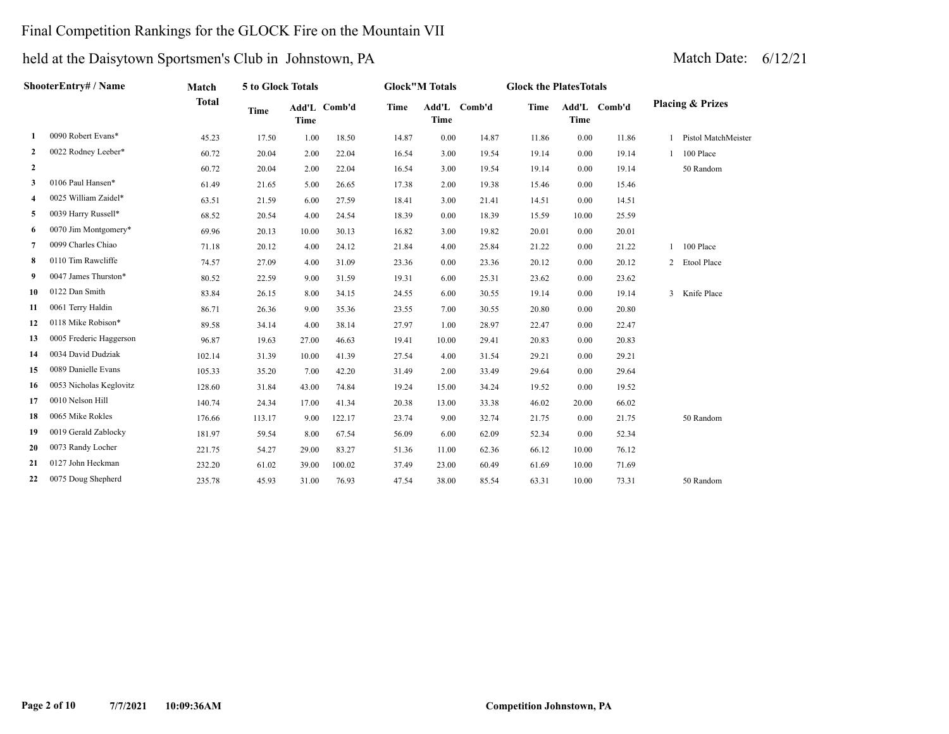### Final Competition Rankings for the GLOCK Fire on the Mountain VII

|                | ShooterEntry# / Name    | Match        | 5 to Glock Totals |             |              | <b>Glock</b> "M Totals |               |        | <b>Glock the PlatesTotals</b> |       |              |                             |
|----------------|-------------------------|--------------|-------------------|-------------|--------------|------------------------|---------------|--------|-------------------------------|-------|--------------|-----------------------------|
|                |                         | <b>Total</b> | <b>Time</b>       | <b>Time</b> | Add'L Comb'd | Time                   | Add'L<br>Time | Comb'd | Time                          | Time  | Add'L Comb'd | <b>Placing &amp; Prizes</b> |
| 1              | 0090 Robert Evans*      | 45.23        | 17.50             | 1.00        | 18.50        | 14.87                  | 0.00          | 14.87  | 11.86                         | 0.00  | 11.86        | Pistol MatchMeister         |
| $\mathbf{2}$   | 0022 Rodney Leeber*     | 60.72        | 20.04             | 2.00        | 22.04        | 16.54                  | 3.00          | 19.54  | 19.14                         | 0.00  | 19.14        | 100 Place                   |
| $\mathbf{2}$   |                         | 60.72        | 20.04             | 2.00        | 22.04        | 16.54                  | 3.00          | 19.54  | 19.14                         | 0.00  | 19.14        | 50 Random                   |
| 3              | 0106 Paul Hansen*       | 61.49        | 21.65             | 5.00        | 26.65        | 17.38                  | 2.00          | 19.38  | 15.46                         | 0.00  | 15.46        |                             |
| 4              | 0025 William Zaidel*    | 63.51        | 21.59             | 6.00        | 27.59        | 18.41                  | 3.00          | 21.41  | 14.51                         | 0.00  | 14.51        |                             |
| 5              | 0039 Harry Russell*     | 68.52        | 20.54             | 4.00        | 24.54        | 18.39                  | 0.00          | 18.39  | 15.59                         | 10.00 | 25.59        |                             |
| 6              | 0070 Jim Montgomery*    | 69.96        | 20.13             | 10.00       | 30.13        | 16.82                  | 3.00          | 19.82  | 20.01                         | 0.00  | 20.01        |                             |
| $\overline{7}$ | 0099 Charles Chiao      | 71.18        | 20.12             | 4.00        | 24.12        | 21.84                  | 4.00          | 25.84  | 21.22                         | 0.00  | 21.22        | 100 Place                   |
| 8              | 0110 Tim Rawcliffe      | 74.57        | 27.09             | 4.00        | 31.09        | 23.36                  | 0.00          | 23.36  | 20.12                         | 0.00  | 20.12        | 2 Etool Place               |
| 9              | 0047 James Thurston*    | 80.52        | 22.59             | 9.00        | 31.59        | 19.31                  | 6.00          | 25.31  | 23.62                         | 0.00  | 23.62        |                             |
| 10             | 0122 Dan Smith          | 83.84        | 26.15             | 8.00        | 34.15        | 24.55                  | 6.00          | 30.55  | 19.14                         | 0.00  | 19.14        | 3 Knife Place               |
| 11             | 0061 Terry Haldin       | 86.71        | 26.36             | 9.00        | 35.36        | 23.55                  | 7.00          | 30.55  | 20.80                         | 0.00  | 20.80        |                             |
| 12             | 0118 Mike Robison*      | 89.58        | 34.14             | 4.00        | 38.14        | 27.97                  | 1.00          | 28.97  | 22.47                         | 0.00  | 22.47        |                             |
| 13             | 0005 Frederic Haggerson | 96.87        | 19.63             | 27.00       | 46.63        | 19.41                  | 10.00         | 29.41  | 20.83                         | 0.00  | 20.83        |                             |
| 14             | 0034 David Dudziak      | 102.14       | 31.39             | 10.00       | 41.39        | 27.54                  | 4.00          | 31.54  | 29.21                         | 0.00  | 29.21        |                             |
| 15             | 0089 Danielle Evans     | 105.33       | 35.20             | 7.00        | 42.20        | 31.49                  | 2.00          | 33.49  | 29.64                         | 0.00  | 29.64        |                             |
| 16             | 0053 Nicholas Keglovitz | 128.60       | 31.84             | 43.00       | 74.84        | 19.24                  | 15.00         | 34.24  | 19.52                         | 0.00  | 19.52        |                             |
| 17             | 0010 Nelson Hill        | 140.74       | 24.34             | 17.00       | 41.34        | 20.38                  | 13.00         | 33.38  | 46.02                         | 20.00 | 66.02        |                             |
| 18             | 0065 Mike Rokles        | 176.66       | 113.17            | 9.00        | 122.17       | 23.74                  | 9.00          | 32.74  | 21.75                         | 0.00  | 21.75        | 50 Random                   |
| 19             | 0019 Gerald Zablocky    | 181.97       | 59.54             | 8.00        | 67.54        | 56.09                  | 6.00          | 62.09  | 52.34                         | 0.00  | 52.34        |                             |
| 20             | 0073 Randy Locher       | 221.75       | 54.27             | 29.00       | 83.27        | 51.36                  | 11.00         | 62.36  | 66.12                         | 10.00 | 76.12        |                             |
| 21             | 0127 John Heckman       | 232.20       | 61.02             | 39.00       | 100.02       | 37.49                  | 23.00         | 60.49  | 61.69                         | 10.00 | 71.69        |                             |
| 22             | 0075 Doug Shepherd      | 235.78       | 45.93             | 31.00       | 76.93        | 47.54                  | 38.00         | 85.54  | 63.31                         | 10.00 | 73.31        | 50 Random                   |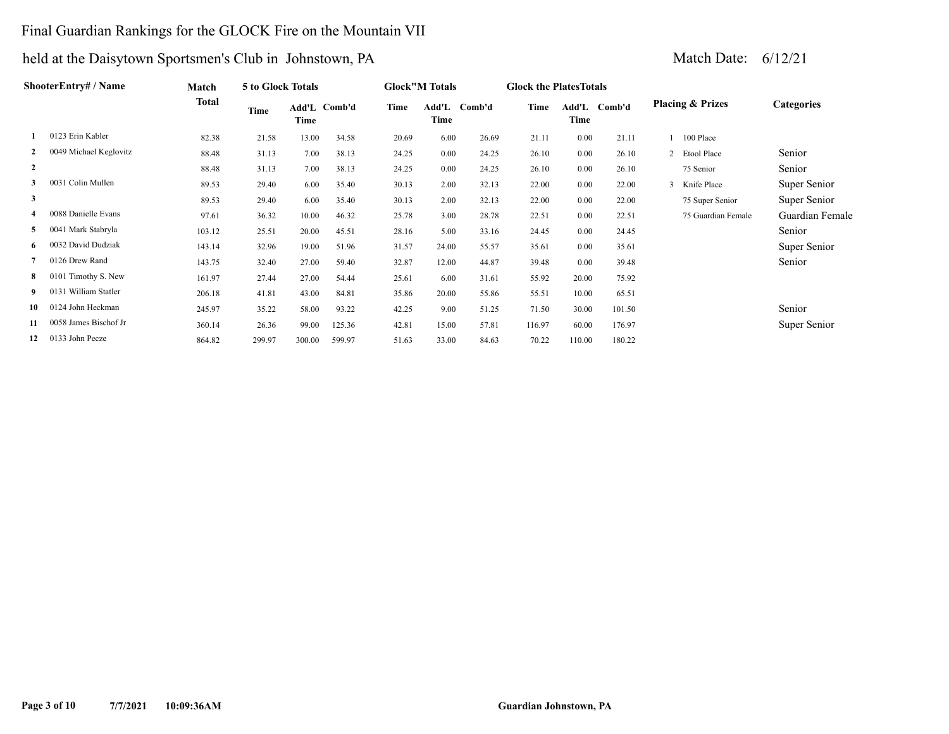### Final Guardian Rankings for the GLOCK Fire on the Mountain VII

| ShooterEntry# / Name |                        | Match  | 5 to Glock Totals |                      |        |       | <b>Glock"M Totals</b> |        | <b>Glock the PlatesTotals</b> |          |              |                             |                   |
|----------------------|------------------------|--------|-------------------|----------------------|--------|-------|-----------------------|--------|-------------------------------|----------|--------------|-----------------------------|-------------------|
|                      |                        | Total  | Time              | Add'L Comb'd<br>Time |        | Time  | Add'L<br>Time         | Comb'd | Time                          | Time     | Add'L Comb'd | <b>Placing &amp; Prizes</b> | <b>Categories</b> |
|                      | 0123 Erin Kabler       | 82.38  | 21.58             | 13.00                | 34.58  | 20.69 | 6.00                  | 26.69  | 21.11                         | 0.00     | 21.11        | 100 Place                   |                   |
| $\overline{2}$       | 0049 Michael Keglovitz | 88.48  | 31.13             | 7.00                 | 38.13  | 24.25 | 0.00                  | 24.25  | 26.10                         | 0.00     | 26.10        | 2 Etool Place               | Senior            |
| 2                    |                        | 88.48  | 31.13             | 7.00                 | 38.13  | 24.25 | 0.00                  | 24.25  | 26.10                         | 0.00     | 26.10        | 75 Senior                   | Senior            |
| 3                    | 0031 Colin Mullen      | 89.53  | 29.40             | 6.00                 | 35.40  | 30.13 | 2.00                  | 32.13  | 22.00                         | $0.00\,$ | 22.00        | Knife Place<br>3            | Super Senior      |
| $\mathbf{3}$         |                        | 89.53  | 29.40             | 6.00                 | 35.40  | 30.13 | 2.00                  | 32.13  | 22.00                         | 0.00     | 22.00        | 75 Super Senior             | Super Senior      |
| 4                    | 0088 Danielle Evans    | 97.61  | 36.32             | 10.00                | 46.32  | 25.78 | 3.00                  | 28.78  | 22.51                         | 0.00     | 22.51        | 75 Guardian Female          | Guardian Female   |
| 5                    | 0041 Mark Stabryla     | 103.12 | 25.51             | 20.00                | 45.51  | 28.16 | 5.00                  | 33.16  | 24.45                         | 0.00     | 24.45        |                             | Senior            |
| 6                    | 0032 David Dudziak     | 143.14 | 32.96             | 19.00                | 51.96  | 31.57 | 24.00                 | 55.57  | 35.61                         | 0.00     | 35.61        |                             | Super Senior      |
|                      | 0126 Drew Rand         | 143.75 | 32.40             | 27.00                | 59.40  | 32.87 | 12.00                 | 44.87  | 39.48                         | 0.00     | 39.48        |                             | Senior            |
| 8                    | 0101 Timothy S. New    | 161.97 | 27.44             | 27.00                | 54.44  | 25.61 | 6.00                  | 31.61  | 55.92                         | 20.00    | 75.92        |                             |                   |
| 9                    | 0131 William Statler   | 206.18 | 41.81             | 43.00                | 84.81  | 35.86 | 20.00                 | 55.86  | 55.51                         | 10.00    | 65.51        |                             |                   |
| 10                   | 0124 John Heckman      | 245.97 | 35.22             | 58.00                | 93.22  | 42.25 | 9.00                  | 51.25  | 71.50                         | 30.00    | 101.50       |                             | Senior            |
| 11                   | 0058 James Bischof Jr  | 360.14 | 26.36             | 99.00                | 125.36 | 42.81 | 15.00                 | 57.81  | 116.97                        | 60.00    | 176.97       |                             | Super Senior      |
| 12                   | 0133 John Pecze        | 864.82 | 299.97            | 300.00               | 599.97 | 51.63 | 33.00                 | 84.63  | 70.22                         | 110.00   | 180.22       |                             |                   |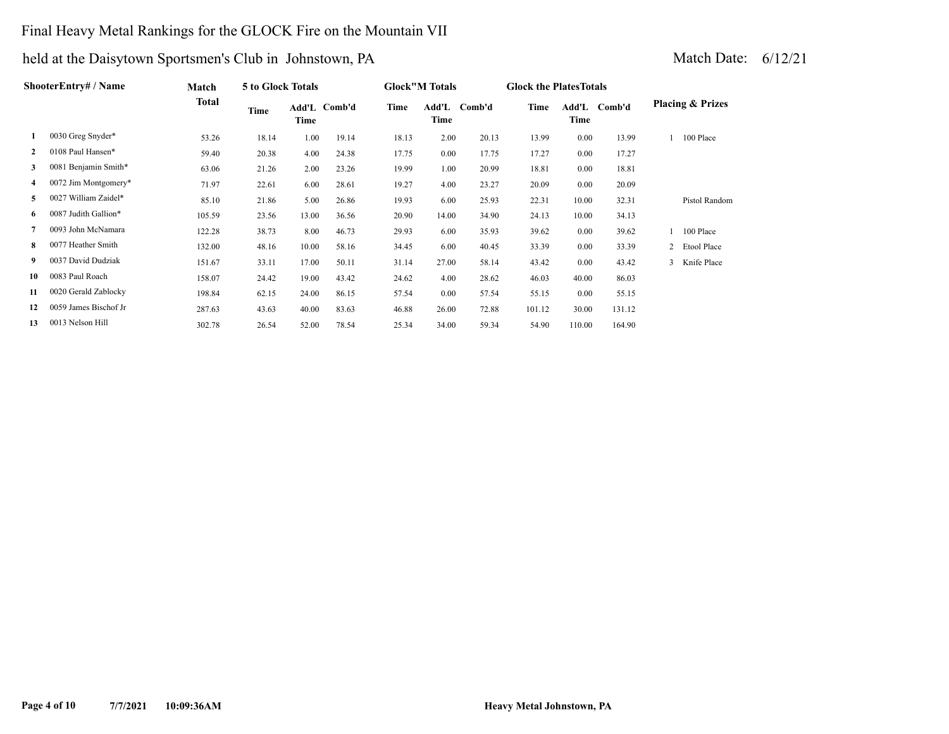### Final Heavy Metal Rankings for the GLOCK Fire on the Mountain VII

| ShooterEntry# / Name | Match                 |        | 5 to Glock Totals |       |              | <b>Glock</b> "M Totals |               | <b>Glock the Plates Totals</b> |        |        |              |                             |
|----------------------|-----------------------|--------|-------------------|-------|--------------|------------------------|---------------|--------------------------------|--------|--------|--------------|-----------------------------|
|                      |                       | Total  | Time              | Time  | Add'L Comb'd | Time                   | Add'L<br>Time | Comb'd                         | Time   | Time   | Add'L Comb'd | <b>Placing &amp; Prizes</b> |
| 1                    | 0030 Greg Snyder*     | 53.26  | 18.14             | 1.00  | 19.14        | 18.13                  | 2.00          | 20.13                          | 13.99  | 0.00   | 13.99        | 100 Place                   |
| 2                    | 0108 Paul Hansen*     | 59.40  | 20.38             | 4.00  | 24.38        | 17.75                  | 0.00          | 17.75                          | 17.27  | 0.00   | 17.27        |                             |
| 3                    | 0081 Benjamin Smith*  | 63.06  | 21.26             | 2.00  | 23.26        | 19.99                  | 1.00          | 20.99                          | 18.81  | 0.00   | 18.81        |                             |
| 4                    | 0072 Jim Montgomery*  | 71.97  | 22.61             | 6.00  | 28.61        | 19.27                  | 4.00          | 23.27                          | 20.09  | 0.00   | 20.09        |                             |
| 5                    | 0027 William Zaidel*  | 85.10  | 21.86             | 5.00  | 26.86        | 19.93                  | 6.00          | 25.93                          | 22.31  | 10.00  | 32.31        | Pistol Random               |
| 6                    | 0087 Judith Gallion*  | 105.59 | 23.56             | 13.00 | 36.56        | 20.90                  | 14.00         | 34.90                          | 24.13  | 10.00  | 34.13        |                             |
|                      | 0093 John McNamara    | 122.28 | 38.73             | 8.00  | 46.73        | 29.93                  | 6.00          | 35.93                          | 39.62  | 0.00   | 39.62        | 100 Place                   |
| 8.                   | 0077 Heather Smith    | 132.00 | 48.16             | 10.00 | 58.16        | 34.45                  | 6.00          | 40.45                          | 33.39  | 0.00   | 33.39        | 2 Etool Place               |
| 9                    | 0037 David Dudziak    | 151.67 | 33.11             | 17.00 | 50.11        | 31.14                  | 27.00         | 58.14                          | 43.42  | 0.00   | 43.42        | 3 Knife Place               |
| 10                   | 0083 Paul Roach       | 158.07 | 24.42             | 19.00 | 43.42        | 24.62                  | 4.00          | 28.62                          | 46.03  | 40.00  | 86.03        |                             |
| 11                   | 0020 Gerald Zablocky  | 198.84 | 62.15             | 24.00 | 86.15        | 57.54                  | 0.00          | 57.54                          | 55.15  | 0.00   | 55.15        |                             |
| 12                   | 0059 James Bischof Jr | 287.63 | 43.63             | 40.00 | 83.63        | 46.88                  | 26.00         | 72.88                          | 101.12 | 30.00  | 131.12       |                             |
| 13                   | 0013 Nelson Hill      | 302.78 | 26.54             | 52.00 | 78.54        | 25.34                  | 34.00         | 59.34                          | 54.90  | 110.00 | 164.90       |                             |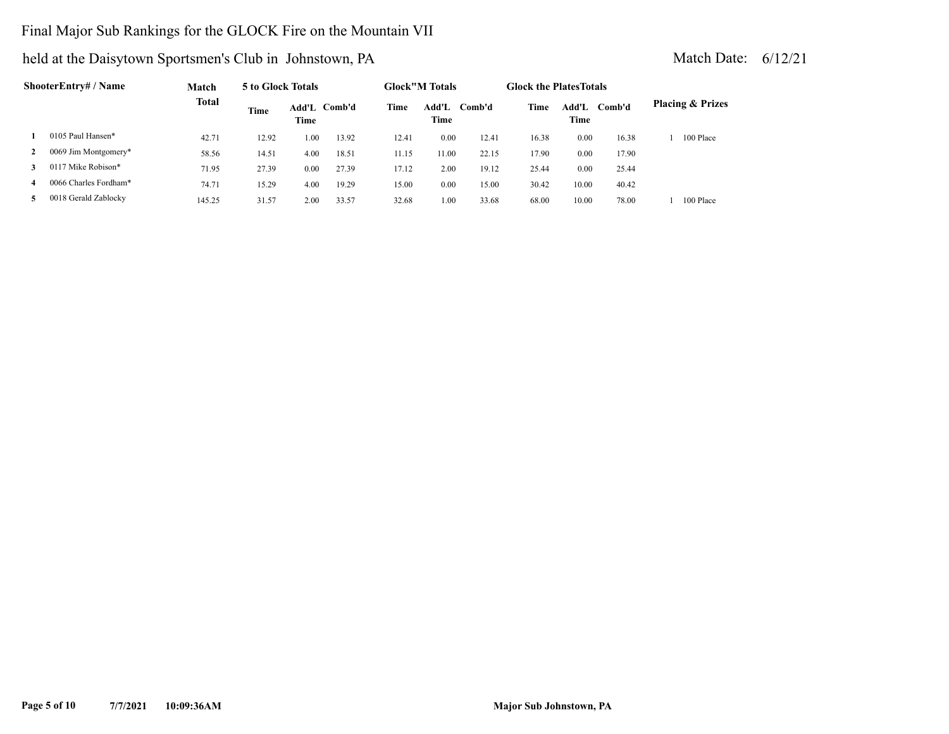### Final Major Sub Rankings for the GLOCK Fire on the Mountain VII

| ShooterEntry# / Name |                       | Match        |       | 5 to Glock Totals |              |       | <b>Glock</b> "M Totals |        | <b>Glock the Plates Totals</b> |               |        |                             |
|----------------------|-----------------------|--------------|-------|-------------------|--------------|-------|------------------------|--------|--------------------------------|---------------|--------|-----------------------------|
|                      |                       | <b>Total</b> | Time  | Time              | Add'L Comb'd | Time  | Add'L<br>Time          | Comb'd | Time                           | Add'L<br>Time | Comb'd | <b>Placing &amp; Prizes</b> |
|                      | 0105 Paul Hansen*     | 42.71        | 12.92 | 1.00              | 13.92        | 12.41 | 0.00                   | 12.41  | 16.38                          | 0.00          | 16.38  | 100 Place                   |
| $\mathbf{2}$         | 0069 Jim Montgomery*  | 58.56        | 14.51 | 4.00              | 18.51        | 11.15 | 11.00                  | 22.15  | 17.90                          | 0.00          | 17.90  |                             |
| 3                    | 0117 Mike Robison*    | 71.95        | 27.39 | 0.00              | 27.39        | 17.12 | 2.00                   | 19.12  | 25.44                          | 0.00          | 25.44  |                             |
| 4                    | 0066 Charles Fordham* | 74.71        | 15.29 | 4.00              | 19.29        | 15.00 | 0.00                   | 15.00  | 30.42                          | 10.00         | 40.42  |                             |
| 5.                   | 0018 Gerald Zablocky  | 145.25       | 31.57 | 2.00              | 33.57        | 32.68 | 1.00                   | 33.68  | 68.00                          | 10.00         | 78.00  | 100 Place                   |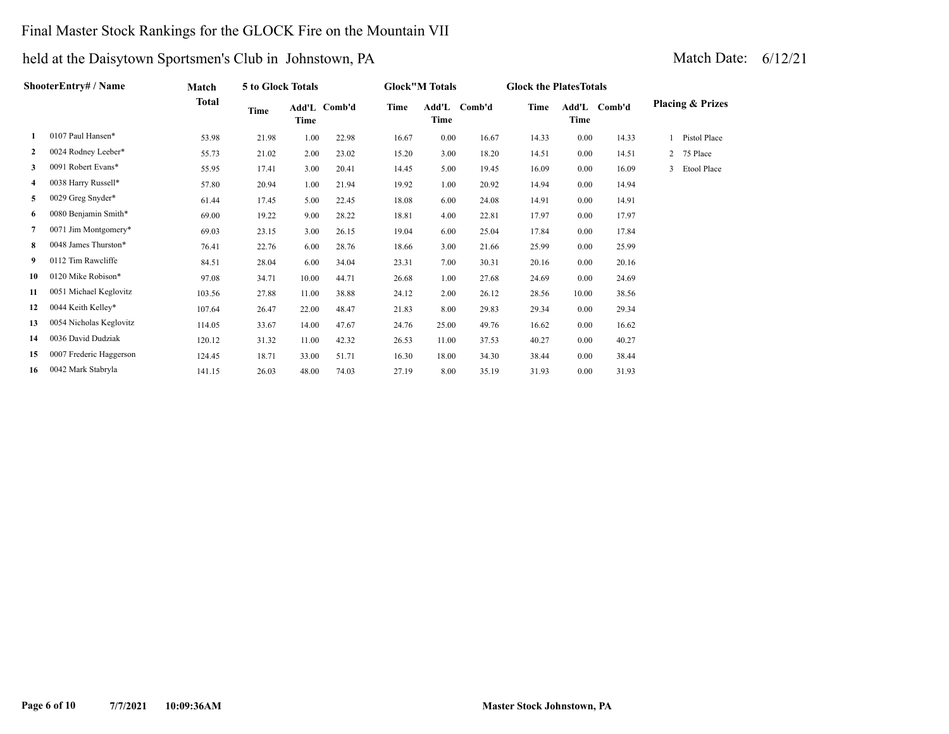### Final Master Stock Rankings for the GLOCK Fire on the Mountain VII

| ShooterEntry# / Name | Match                   | 5 to Glock Totals |       |       | <b>Glock</b> "M Totals |       | <b>Glock the Plates Totals</b> |              |       |               |        |                             |
|----------------------|-------------------------|-------------------|-------|-------|------------------------|-------|--------------------------------|--------------|-------|---------------|--------|-----------------------------|
|                      |                         | <b>Total</b>      | Time  | Time  | Add'L Comb'd           | Time  | Time                           | Add'L Comb'd | Time  | Add'L<br>Time | Comb'd | <b>Placing &amp; Prizes</b> |
| 1                    | 0107 Paul Hansen*       | 53.98             | 21.98 | 1.00  | 22.98                  | 16.67 | 0.00                           | 16.67        | 14.33 | 0.00          | 14.33  | Pistol Place                |
| $\mathbf{2}$         | 0024 Rodney Leeber*     | 55.73             | 21.02 | 2.00  | 23.02                  | 15.20 | 3.00                           | 18.20        | 14.51 | 0.00          | 14.51  | 75 Place<br>$2^{\circ}$     |
| 3                    | 0091 Robert Evans*      | 55.95             | 17.41 | 3.00  | 20.41                  | 14.45 | 5.00                           | 19.45        | 16.09 | 0.00          | 16.09  | Etool Place<br>3            |
| 4                    | 0038 Harry Russell*     | 57.80             | 20.94 | 1.00  | 21.94                  | 19.92 | 1.00                           | 20.92        | 14.94 | 0.00          | 14.94  |                             |
| 5                    | 0029 Greg Snyder*       | 61.44             | 17.45 | 5.00  | 22.45                  | 18.08 | 6.00                           | 24.08        | 14.91 | 0.00          | 14.91  |                             |
| 6                    | 0080 Benjamin Smith*    | 69.00             | 19.22 | 9.00  | 28.22                  | 18.81 | 4.00                           | 22.81        | 17.97 | 0.00          | 17.97  |                             |
| 7                    | 0071 Jim Montgomery*    | 69.03             | 23.15 | 3.00  | 26.15                  | 19.04 | 6.00                           | 25.04        | 17.84 | 0.00          | 17.84  |                             |
| 8                    | 0048 James Thurston*    | 76.41             | 22.76 | 6.00  | 28.76                  | 18.66 | 3.00                           | 21.66        | 25.99 | 0.00          | 25.99  |                             |
| 9                    | 0112 Tim Rawcliffe      | 84.51             | 28.04 | 6.00  | 34.04                  | 23.31 | 7.00                           | 30.31        | 20.16 | 0.00          | 20.16  |                             |
| 10                   | 0120 Mike Robison*      | 97.08             | 34.71 | 10.00 | 44.71                  | 26.68 | 1.00                           | 27.68        | 24.69 | 0.00          | 24.69  |                             |
| 11                   | 0051 Michael Keglovitz  | 103.56            | 27.88 | 11.00 | 38.88                  | 24.12 | 2.00                           | 26.12        | 28.56 | 10.00         | 38.56  |                             |
| 12                   | 0044 Keith Kelley*      | 107.64            | 26.47 | 22.00 | 48.47                  | 21.83 | 8.00                           | 29.83        | 29.34 | 0.00          | 29.34  |                             |
| 13                   | 0054 Nicholas Keglovitz | 114.05            | 33.67 | 14.00 | 47.67                  | 24.76 | 25.00                          | 49.76        | 16.62 | 0.00          | 16.62  |                             |
| 14                   | 0036 David Dudziak      | 120.12            | 31.32 | 11.00 | 42.32                  | 26.53 | 11.00                          | 37.53        | 40.27 | 0.00          | 40.27  |                             |
| 15                   | 0007 Frederic Haggerson | 124.45            | 18.71 | 33.00 | 51.71                  | 16.30 | 18.00                          | 34.30        | 38.44 | 0.00          | 38.44  |                             |
| 16                   | 0042 Mark Stabryla      | 141.15            | 26.03 | 48.00 | 74.03                  | 27.19 | 8.00                           | 35.19        | 31.93 | 0.00          | 31.93  |                             |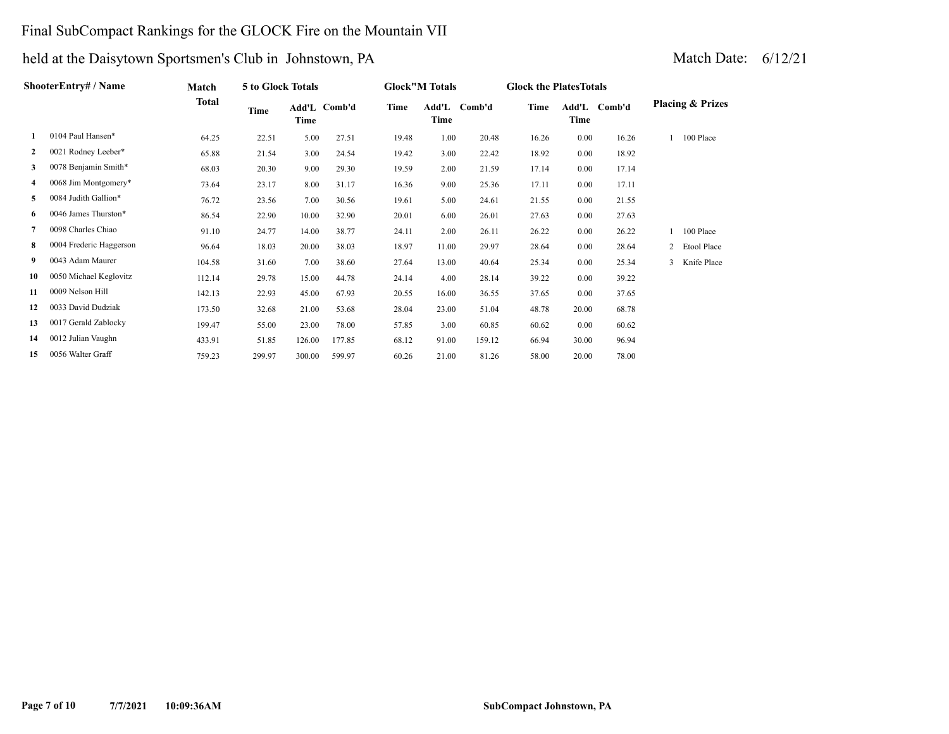### Final SubCompact Rankings for the GLOCK Fire on the Mountain VII

| ShooterEntry# / Name | Match                   | 5 to Glock Totals |        |        |              | <b>Glock"M Totals</b> |               | <b>Glock the Plates Totals</b> |       |       |              |                             |
|----------------------|-------------------------|-------------------|--------|--------|--------------|-----------------------|---------------|--------------------------------|-------|-------|--------------|-----------------------------|
|                      |                         | <b>Total</b>      | Time   | Time   | Add'L Comb'd | Time                  | Add'L<br>Time | Comb'd                         | Time  | Time  | Add'L Comb'd | <b>Placing &amp; Prizes</b> |
| 1                    | 0104 Paul Hansen*       | 64.25             | 22.51  | 5.00   | 27.51        | 19.48                 | 1.00          | 20.48                          | 16.26 | 0.00  | 16.26        | 100 Place                   |
| $\mathbf{2}$         | 0021 Rodney Leeber*     | 65.88             | 21.54  | 3.00   | 24.54        | 19.42                 | 3.00          | 22.42                          | 18.92 | 0.00  | 18.92        |                             |
| 3                    | 0078 Benjamin Smith*    | 68.03             | 20.30  | 9.00   | 29.30        | 19.59                 | 2.00          | 21.59                          | 17.14 | 0.00  | 17.14        |                             |
| 4                    | 0068 Jim Montgomery*    | 73.64             | 23.17  | 8.00   | 31.17        | 16.36                 | 9.00          | 25.36                          | 17.11 | 0.00  | 17.11        |                             |
| 5                    | 0084 Judith Gallion*    | 76.72             | 23.56  | 7.00   | 30.56        | 19.61                 | 5.00          | 24.61                          | 21.55 | 0.00  | 21.55        |                             |
| 6                    | 0046 James Thurston*    | 86.54             | 22.90  | 10.00  | 32.90        | 20.01                 | 6.00          | 26.01                          | 27.63 | 0.00  | 27.63        |                             |
| 7                    | 0098 Charles Chiao      | 91.10             | 24.77  | 14.00  | 38.77        | 24.11                 | 2.00          | 26.11                          | 26.22 | 0.00  | 26.22        | 100 Place                   |
| 8                    | 0004 Frederic Haggerson | 96.64             | 18.03  | 20.00  | 38.03        | 18.97                 | 11.00         | 29.97                          | 28.64 | 0.00  | 28.64        | 2 Etool Place               |
| 9.                   | 0043 Adam Maurer        | 104.58            | 31.60  | 7.00   | 38.60        | 27.64                 | 13.00         | 40.64                          | 25.34 | 0.00  | 25.34        | 3 Knife Place               |
| 10                   | 0050 Michael Keglovitz  | 112.14            | 29.78  | 15.00  | 44.78        | 24.14                 | 4.00          | 28.14                          | 39.22 | 0.00  | 39.22        |                             |
| 11                   | 0009 Nelson Hill        | 142.13            | 22.93  | 45.00  | 67.93        | 20.55                 | 16.00         | 36.55                          | 37.65 | 0.00  | 37.65        |                             |
| 12                   | 0033 David Dudziak      | 173.50            | 32.68  | 21.00  | 53.68        | 28.04                 | 23.00         | 51.04                          | 48.78 | 20.00 | 68.78        |                             |
| 13                   | 0017 Gerald Zablocky    | 199.47            | 55.00  | 23.00  | 78.00        | 57.85                 | 3.00          | 60.85                          | 60.62 | 0.00  | 60.62        |                             |
| 14                   | 0012 Julian Vaughn      | 433.91            | 51.85  | 126.00 | 177.85       | 68.12                 | 91.00         | 159.12                         | 66.94 | 30.00 | 96.94        |                             |
| 15                   | 0056 Walter Graff       | 759.23            | 299.97 | 300.00 | 599.97       | 60.26                 | 21.00         | 81.26                          | 58.00 | 20.00 | 78.00        |                             |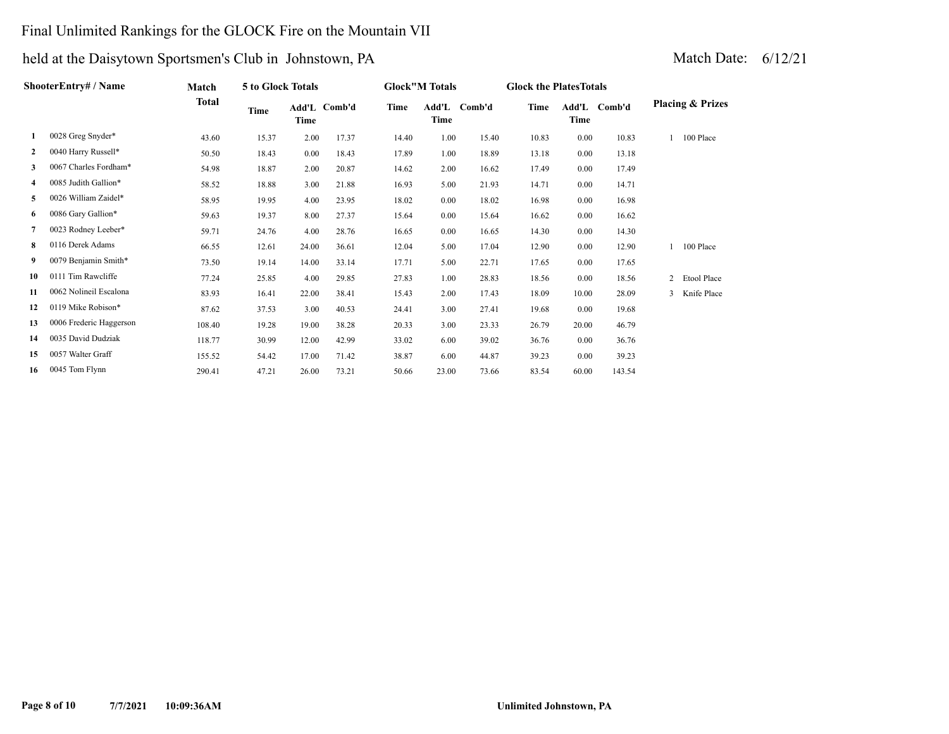### Final Unlimited Rankings for the GLOCK Fire on the Mountain VII

| <b>ShooterEntry# / Name</b> | Match                   | <b>5 to Glock Totals</b> |       |       |              | <b>Glock"M Totals</b> |       | <b>Glock the Plates Totals</b> |       |               |        |   |                             |
|-----------------------------|-------------------------|--------------------------|-------|-------|--------------|-----------------------|-------|--------------------------------|-------|---------------|--------|---|-----------------------------|
|                             |                         | Total                    | Time  | Time  | Add'L Comb'd | Time                  | Time  | Add'L Comb'd                   | Time  | Add'L<br>Time | Comb'd |   | <b>Placing &amp; Prizes</b> |
| 1                           | 0028 Greg Snyder*       | 43.60                    | 15.37 | 2.00  | 17.37        | 14.40                 | 1.00  | 15.40                          | 10.83 | 0.00          | 10.83  |   | 100 Place                   |
| $\mathbf{2}$                | 0040 Harry Russell*     | 50.50                    | 18.43 | 0.00  | 18.43        | 17.89                 | 1.00  | 18.89                          | 13.18 | 0.00          | 13.18  |   |                             |
| 3                           | 0067 Charles Fordham*   | 54.98                    | 18.87 | 2.00  | 20.87        | 14.62                 | 2.00  | 16.62                          | 17.49 | 0.00          | 17.49  |   |                             |
| 4                           | 0085 Judith Gallion*    | 58.52                    | 18.88 | 3.00  | 21.88        | 16.93                 | 5.00  | 21.93                          | 14.71 | 0.00          | 14.71  |   |                             |
| 5                           | 0026 William Zaidel*    | 58.95                    | 19.95 | 4.00  | 23.95        | 18.02                 | 0.00  | 18.02                          | 16.98 | 0.00          | 16.98  |   |                             |
| 6                           | 0086 Gary Gallion*      | 59.63                    | 19.37 | 8.00  | 27.37        | 15.64                 | 0.00  | 15.64                          | 16.62 | 0.00          | 16.62  |   |                             |
| 7                           | 0023 Rodney Leeber*     | 59.71                    | 24.76 | 4.00  | 28.76        | 16.65                 | 0.00  | 16.65                          | 14.30 | 0.00          | 14.30  |   |                             |
| 8                           | 0116 Derek Adams        | 66.55                    | 12.61 | 24.00 | 36.61        | 12.04                 | 5.00  | 17.04                          | 12.90 | 0.00          | 12.90  |   | 100 Place                   |
| 9.                          | 0079 Benjamin Smith*    | 73.50                    | 19.14 | 14.00 | 33.14        | 17.71                 | 5.00  | 22.71                          | 17.65 | 0.00          | 17.65  |   |                             |
| 10                          | 0111 Tim Rawcliffe      | 77.24                    | 25.85 | 4.00  | 29.85        | 27.83                 | 1.00  | 28.83                          | 18.56 | 0.00          | 18.56  |   | 2 Etool Place               |
| 11                          | 0062 Nolineil Escalona  | 83.93                    | 16.41 | 22.00 | 38.41        | 15.43                 | 2.00  | 17.43                          | 18.09 | 10.00         | 28.09  | 3 | Knife Place                 |
| 12                          | 0119 Mike Robison*      | 87.62                    | 37.53 | 3.00  | 40.53        | 24.41                 | 3.00  | 27.41                          | 19.68 | 0.00          | 19.68  |   |                             |
| 13                          | 0006 Frederic Haggerson | 108.40                   | 19.28 | 19.00 | 38.28        | 20.33                 | 3.00  | 23.33                          | 26.79 | 20.00         | 46.79  |   |                             |
| 14                          | 0035 David Dudziak      | 118.77                   | 30.99 | 12.00 | 42.99        | 33.02                 | 6.00  | 39.02                          | 36.76 | 0.00          | 36.76  |   |                             |
| 15                          | 0057 Walter Graff       | 155.52                   | 54.42 | 17.00 | 71.42        | 38.87                 | 6.00  | 44.87                          | 39.23 | 0.00          | 39.23  |   |                             |
| 16                          | 0045 Tom Flynn          | 290.41                   | 47.21 | 26.00 | 73.21        | 50.66                 | 23.00 | 73.66                          | 83.54 | 60.00         | 143.54 |   |                             |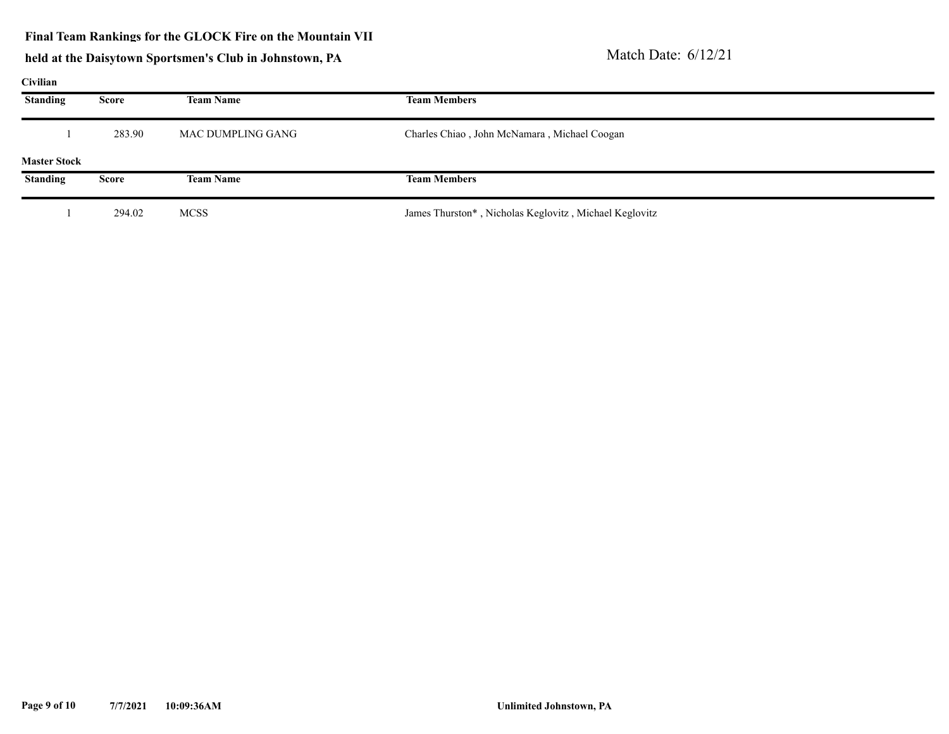# held at the Daisytown Sportsmen's Club in Johnstown, PA Match Date: 6/12/21

#### **Civilian**

| $\mathbf{u}$ , where |              |                   |                                                        |
|----------------------|--------------|-------------------|--------------------------------------------------------|
| <b>Standing</b>      | Score        | <b>Team Name</b>  | <b>Team Members</b>                                    |
|                      | 283.90       | MAC DUMPLING GANG | Charles Chiao, John McNamara, Michael Coogan           |
| <b>Master Stock</b>  |              |                   |                                                        |
| <b>Standing</b>      | <b>Score</b> | <b>Team Name</b>  | <b>Team Members</b>                                    |
|                      | 294.02       | <b>MCSS</b>       | James Thurston*, Nicholas Keglovitz, Michael Keglovitz |